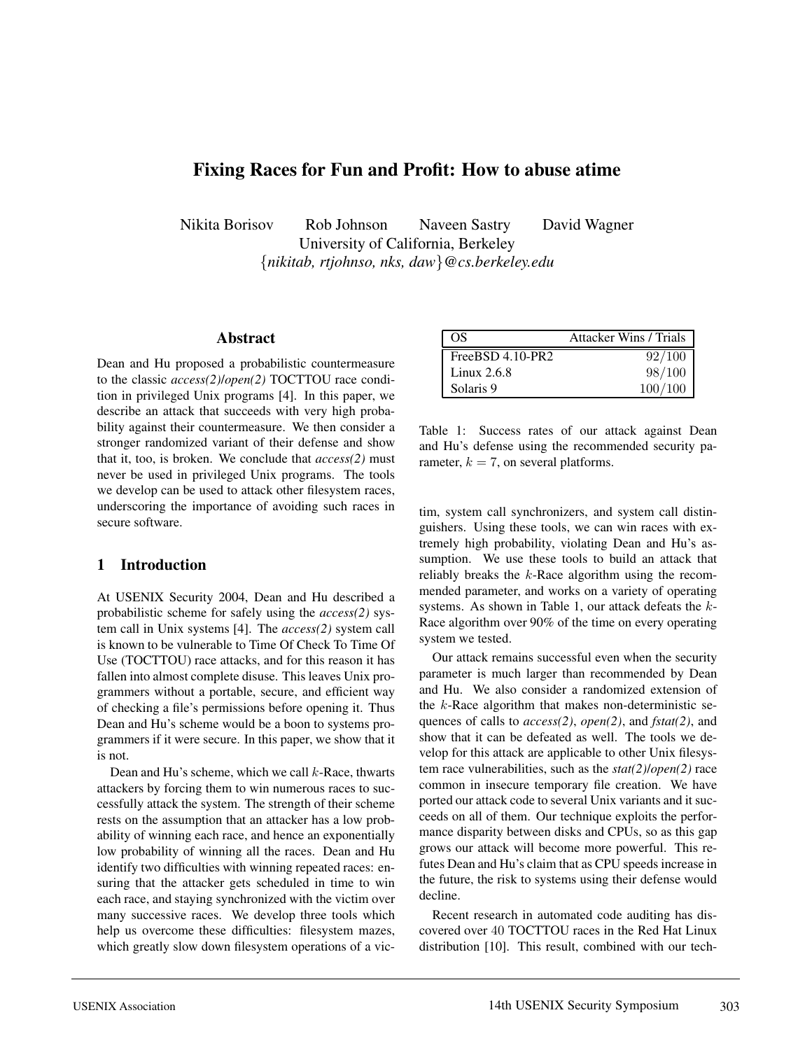# **Fixing Races for Fun and Profit: How to abuse atime**

Nikita Borisov Rob Johnson Naveen Sastry David Wagner University of California, Berkeley {*nikitab, rtjohnso, nks, daw*}*@cs.berkeley.edu*

#### **Abstract**

Dean and Hu proposed a probabilistic countermeasure to the classic *access(2)*/*open(2)* TOCTTOU race condition in privileged Unix programs [4]. In this paper, we describe an attack that succeeds with very high probability against their countermeasure. We then consider a stronger randomized variant of their defense and show that it, too, is broken. We conclude that *access(2)* must never be used in privileged Unix programs. The tools we develop can be used to attack other filesystem races, underscoring the importance of avoiding such races in secure software.

### **1 Introduction**

At USENIX Security 2004, Dean and Hu described a probabilistic scheme for safely using the *access(2)* system call in Unix systems [4]. The *access(2)* system call is known to be vulnerable to Time Of Check To Time Of Use (TOCTTOU) race attacks, and for this reason it has fallen into almost complete disuse. This leaves Unix programmers without a portable, secure, and efficient way of checking a file's permissions before opening it. Thus Dean and Hu's scheme would be a boon to systems programmers if it were secure. In this paper, we show that it is not.

Dean and Hu's scheme, which we call  $k$ -Race, thwarts attackers by forcing them to win numerous races to successfully attack the system. The strength of their scheme rests on the assumption that an attacker has a low probability of winning each race, and hence an exponentially low probability of winning all the races. Dean and Hu identify two difficulties with winning repeated races: ensuring that the attacker gets scheduled in time to win each race, and staying synchronized with the victim over many successive races. We develop three tools which help us overcome these difficulties: filesystem mazes, which greatly slow down filesystem operations of a vic-

| OS                 | <b>Attacker Wins / Trials</b> |
|--------------------|-------------------------------|
| $FreeBSD 4.10-PR2$ | 92/100                        |
| Linux $2.6.8$      | 98/100                        |
| Solaris 9          | 100/100                       |

Table 1: Success rates of our attack against Dean and Hu's defense using the recommended security parameter,  $k = 7$ , on several platforms.

tim, system call synchronizers, and system call distinguishers. Using these tools, we can win races with extremely high probability, violating Dean and Hu's assumption. We use these tools to build an attack that reliably breaks the  $k$ -Race algorithm using the recommended parameter, and works on a variety of operating systems. As shown in Table 1, our attack defeats the k-Race algorithm over 90% of the time on every operating system we tested.

Our attack remains successful even when the security parameter is much larger than recommended by Dean and Hu. We also consider a randomized extension of the  $k$ -Race algorithm that makes non-deterministic sequences of calls to *access(2)*, *open(2)*, and *fstat(2)*, and show that it can be defeated as well. The tools we develop for this attack are applicable to other Unix filesystem race vulnerabilities, such as the *stat(2)*/*open(2)* race common in insecure temporary file creation. We have ported our attack code to several Unix variants and it succeeds on all of them. Our technique exploits the performance disparity between disks and CPUs, so as this gap grows our attack will become more powerful. This refutes Dean and Hu's claim that as CPU speeds increase in the future, the risk to systems using their defense would decline.

Recent research in automated code auditing has discovered over 40 TOCTTOU races in the Red Hat Linux distribution [10]. This result, combined with our tech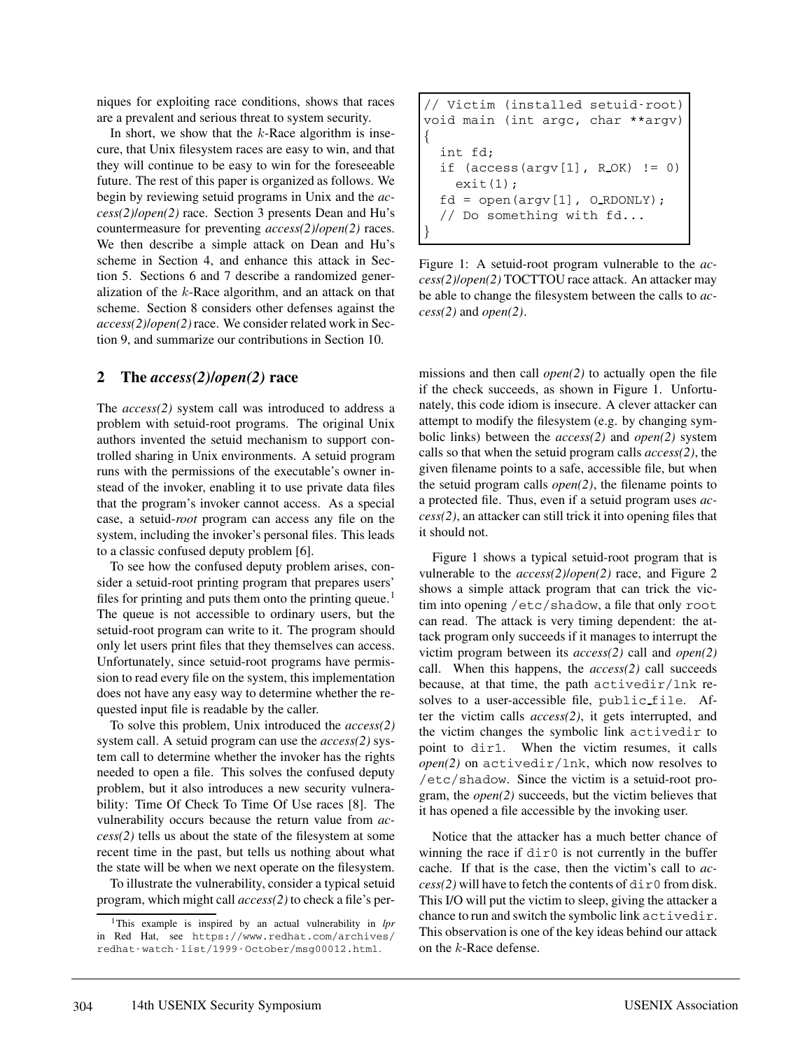niques for exploiting race conditions, shows that races are a prevalent and serious threat to system security.

In short, we show that the  $k$ -Race algorithm is insecure, that Unix filesystem races are easy to win, and that they will continue to be easy to win for the foreseeable future. The rest of this paper is organized as follows. We begin by reviewing setuid programs in Unix and the *access(2)*/*open(2)* race. Section 3 presents Dean and Hu's countermeasure for preventing *access(2)*/*open(2)* races. We then describe a simple attack on Dean and Hu's scheme in Section 4, and enhance this attack in Section 5. Sections 6 and 7 describe a randomized generalization of the  $k$ -Race algorithm, and an attack on that scheme. Section 8 considers other defenses against the *access(2)*/*open(2)* race. We consider related work in Section 9, and summarize our contributions in Section 10.

### **2 The** *access(2)***/***open(2)* **race**

The *access(2)* system call was introduced to address a problem with setuid-root programs. The original Unix authors invented the setuid mechanism to support controlled sharing in Unix environments. A setuid program runs with the permissions of the executable's owner instead of the invoker, enabling it to use private data files that the program's invoker cannot access. As a special case, a setuid-*root* program can access any file on the system, including the invoker's personal files. This leads to a classic confused deputy problem [6].

To see how the confused deputy problem arises, consider a setuid-root printing program that prepares users' files for printing and puts them onto the printing queue.<sup>1</sup> The queue is not accessible to ordinary users, but the setuid-root program can write to it. The program should only let users print files that they themselves can access. Unfortunately, since setuid-root programs have permission to read every file on the system, this implementation does not have any easy way to determine whether the requested input file is readable by the caller.

To solve this problem, Unix introduced the *access(2)* system call. A setuid program can use the *access(2)* system call to determine whether the invoker has the rights needed to open a file. This solves the confused deputy problem, but it also introduces a new security vulnerability: Time Of Check To Time Of Use races [8]. The vulnerability occurs because the return value from *access(2)* tells us about the state of the filesystem at some recent time in the past, but tells us nothing about what the state will be when we next operate on the filesystem.

To illustrate the vulnerability, consider a typical setuid program, which might call *access(2)* to check a file's per-

```
// Victim (installed setuid-root)
void main (int argc, char **argv)
{
  int fd;
  if (\arccos(\arccos[1], R_0K) := 0)exit(1);fd = open(argv[1], O_RDOMLY);// Do something with fd...
}
```
Figure 1: A setuid-root program vulnerable to the *access(2)*/*open(2)* TOCTTOU race attack. An attacker may be able to change the filesystem between the calls to *access(2)* and *open(2)*.

missions and then call *open(2)* to actually open the file if the check succeeds, as shown in Figure 1. Unfortunately, this code idiom is insecure. A clever attacker can attempt to modify the filesystem (e.g. by changing symbolic links) between the *access(2)* and *open(2)* system calls so that when the setuid program calls *access(2)*, the given filename points to a safe, accessible file, but when the setuid program calls *open(2)*, the filename points to a protected file. Thus, even if a setuid program uses *access(2)*, an attacker can still trick it into opening files that it should not.

Figure 1 shows a typical setuid-root program that is vulnerable to the *access(2)*/*open(2)* race, and Figure 2 shows a simple attack program that can trick the victim into opening /etc/shadow, a file that only root can read. The attack is very timing dependent: the attack program only succeeds if it manages to interrupt the victim program between its *access(2)* call and *open(2)* call. When this happens, the *access(2)* call succeeds because, at that time, the path activedir/lnk resolves to a user-accessible file, public file. After the victim calls *access(2)*, it gets interrupted, and the victim changes the symbolic link activedir to point to dir1. When the victim resumes, it calls *open(2)* on activedir/lnk, which now resolves to /etc/shadow. Since the victim is a setuid-root program, the *open(2)* succeeds, but the victim believes that it has opened a file accessible by the invoking user.

Notice that the attacker has a much better chance of winning the race if  $dir0$  is not currently in the buffer cache. If that is the case, then the victim's call to *ac* $cess(2)$  will have to fetch the contents of  $dir0$  from disk. This I/O will put the victim to sleep, giving the attacker a chance to run and switch the symbolic link activedir. This observation is one of the key ideas behind our attack on the k-Race defense.

<sup>1</sup>This example is inspired by an actual vulnerability in *lpr* in Red Hat, see https://www.redhat.com/archives/ redhat-watch-list/1999-October/msg00012.html.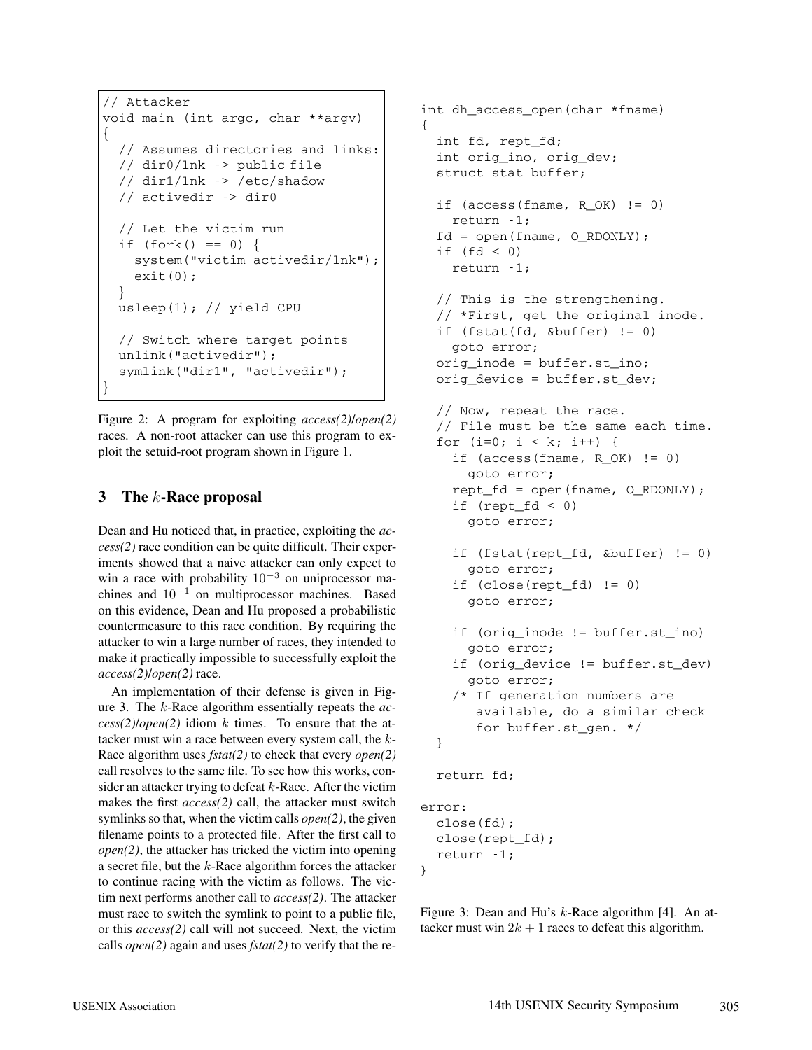```
// Attacker
void main (int argc, char **argv)
\{// Assumes directories and links:
 // dir0/lnk -> public file
 // dir1/lnk -> /etc/shadow
  // activedir -> dir0
 // Let the victim run
 if (fork() == 0) {
    system("victim activedir/lnk");
    exit(0);}
 usleep(1); // yield CPU
 // Switch where target points
 unlink("activedir");
  symlink("dir1", "activedir");
}
```
Figure 2: A program for exploiting *access(2)*/*open(2)* races. A non-root attacker can use this program to exploit the setuid-root program shown in Figure 1.

# **3 The** k**-Race proposal**

Dean and Hu noticed that, in practice, exploiting the *access(2)* race condition can be quite difficult. Their experiments showed that a naive attacker can only expect to win a race with probability  $10^{-3}$  on uniprocessor machines and  $10^{-1}$  on multiprocessor machines. Based on this evidence, Dean and Hu proposed a probabilistic countermeasure to this race condition. By requiring the attacker to win a large number of races, they intended to make it practically impossible to successfully exploit the *access(2)*/*open(2)* race.

An implementation of their defense is given in Figure 3. The k-Race algorithm essentially repeats the *ac-* $\cos(2)/\omega$ *pen(2)* idiom k times. To ensure that the attacker must win a race between every system call, the k-Race algorithm uses *fstat(2)* to check that every *open(2)* call resolves to the same file. To see how this works, consider an attacker trying to defeat  $k$ -Race. After the victim makes the first *access(2)* call, the attacker must switch symlinks so that, when the victim calls *open(2)*, the given filename points to a protected file. After the first call to *open(2)*, the attacker has tricked the victim into opening a secret file, but the k-Race algorithm forces the attacker to continue racing with the victim as follows. The victim next performs another call to *access(2)*. The attacker must race to switch the symlink to point to a public file, or this *access(2)* call will not succeed. Next, the victim calls *open(2)* again and uses *fstat(2)* to verify that the re-

```
int dh_access_open(char *fname)
{
  int fd, rept_fd;
  int orig_ino, orig_dev;
  struct stat buffer;
  if (\text{access}(\text{frame}, R_OK) != 0)return -1;
  fd = open(fname, O_RDONLY);
  if (fd < 0)return -1;
  // This is the strengthening.
  // *First, get the original inode.
  if (fstat(fd, &buffer) != 0)
    goto error;
  orig_inode = buffer.st_ino;
  orig_device = buffer.st_dev;
  // Now, repeat the race.
  // File must be the same each time.
  for (i=0; i < k; i++) {
    if (access(fname, R_OK) != 0)
      goto error;
    rept fd = open(fname, O RDOMLY);if (rept fd < 0)
      goto error;
    if (fstat(rept_fd, &buffer) != 0)
      goto error;
    if (close(reptfd) != 0)goto error;
    if (orig_inode != buffer.st_ino)
      goto error;
    if (orig_device != buffer.st_dev)
      goto error;
    /* If generation numbers are
       available, do a similar check
       for buffer.st_gen. */
  }
  return fd;
error:
  close(fd);
  close(rept_fd);
  return -1;
}
```
Figure 3: Dean and Hu's k-Race algorithm [4]. An attacker must win  $2k + 1$  races to defeat this algorithm.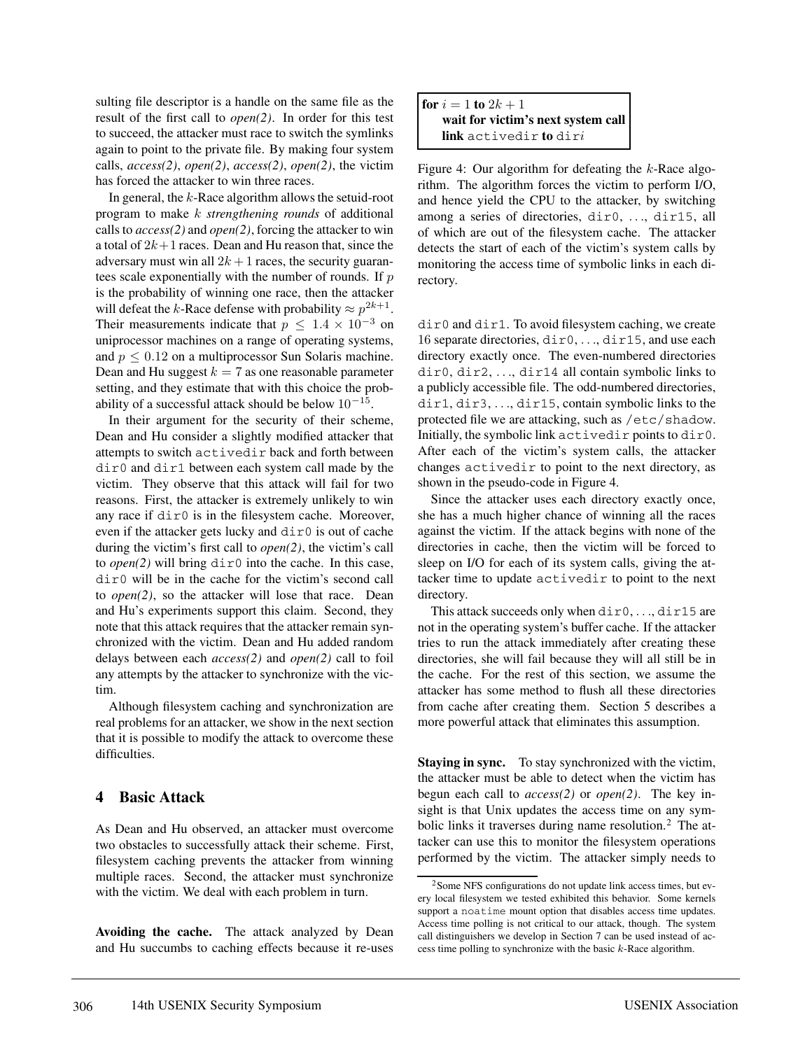sulting file descriptor is a handle on the same file as the result of the first call to *open(2)*. In order for this test to succeed, the attacker must race to switch the symlinks again to point to the private file. By making four system calls, *access(2)*, *open(2)*, *access(2)*, *open(2)*, the victim has forced the attacker to win three races.

In general, the  $k$ -Race algorithm allows the setuid-root program to make k *strengthening rounds* of additional calls to *access(2)* and *open(2)*, forcing the attacker to win a total of  $2k+1$  races. Dean and Hu reason that, since the adversary must win all  $2k + 1$  races, the security guarantees scale exponentially with the number of rounds. If  $p$ is the probability of winning one race, then the attacker will defeat the k-Race defense with probability  $\approx p^{2k+1}$ . Their measurements indicate that  $p \leq 1.4 \times 10^{-3}$  on uniprocessor machines on a range of operating systems, and  $p \leq 0.12$  on a multiprocessor Sun Solaris machine. Dean and Hu suggest  $k = 7$  as one reasonable parameter setting, and they estimate that with this choice the probability of a successful attack should be below  $10^{-15}$ .

In their argument for the security of their scheme, Dean and Hu consider a slightly modified attacker that attempts to switch activedir back and forth between dir0 and dir1 between each system call made by the victim. They observe that this attack will fail for two reasons. First, the attacker is extremely unlikely to win any race if dir0 is in the filesystem cache. Moreover, even if the attacker gets lucky and dir0 is out of cache during the victim's first call to *open(2)*, the victim's call to *open*(2) will bring  $\text{dir}0$  into the cache. In this case, dir0 will be in the cache for the victim's second call to *open(2)*, so the attacker will lose that race. Dean and Hu's experiments support this claim. Second, they note that this attack requires that the attacker remain synchronized with the victim. Dean and Hu added random delays between each *access(2)* and *open(2)* call to foil any attempts by the attacker to synchronize with the victim.

Although filesystem caching and synchronization are real problems for an attacker, we show in the next section that it is possible to modify the attack to overcome these difficulties.

### **4 Basic Attack**

As Dean and Hu observed, an attacker must overcome two obstacles to successfully attack their scheme. First, filesystem caching prevents the attacker from winning multiple races. Second, the attacker must synchronize with the victim. We deal with each problem in turn.

**Avoiding the cache.** The attack analyzed by Dean and Hu succumbs to caching effects because it re-uses



Figure 4: Our algorithm for defeating the  $k$ -Race algorithm. The algorithm forces the victim to perform I/O, and hence yield the CPU to the attacker, by switching among a series of directories, dir0, ..., dir15, all of which are out of the filesystem cache. The attacker detects the start of each of the victim's system calls by monitoring the access time of symbolic links in each directory.

dir0 and dir1. To avoid filesystem caching, we create 16 separate directories, dir0, ..., dir15, and use each directory exactly once. The even-numbered directories dir0, dir2, ..., dir14 all contain symbolic links to a publicly accessible file. The odd-numbered directories, dir1, dir3, ..., dir15, contain symbolic links to the protected file we are attacking, such as /etc/shadow. Initially, the symbolic link activedir points to dir0. After each of the victim's system calls, the attacker changes activedir to point to the next directory, as shown in the pseudo-code in Figure 4.

Since the attacker uses each directory exactly once, she has a much higher chance of winning all the races against the victim. If the attack begins with none of the directories in cache, then the victim will be forced to sleep on I/O for each of its system calls, giving the attacker time to update activedir to point to the next directory.

This attack succeeds only when  $dir0, ..., dir15$  are not in the operating system's buffer cache. If the attacker tries to run the attack immediately after creating these directories, she will fail because they will all still be in the cache. For the rest of this section, we assume the attacker has some method to flush all these directories from cache after creating them. Section 5 describes a more powerful attack that eliminates this assumption.

**Staying in sync.** To stay synchronized with the victim, the attacker must be able to detect when the victim has begun each call to *access(2)* or *open(2)*. The key insight is that Unix updates the access time on any symbolic links it traverses during name resolution.<sup>2</sup> The attacker can use this to monitor the filesystem operations performed by the victim. The attacker simply needs to

<sup>&</sup>lt;sup>2</sup>Some NFS configurations do not update link access times, but every local filesystem we tested exhibited this behavior. Some kernels support a noatime mount option that disables access time updates. Access time polling is not critical to our attack, though. The system call distinguishers we develop in Section 7 can be used instead of access time polling to synchronize with the basic k-Race algorithm.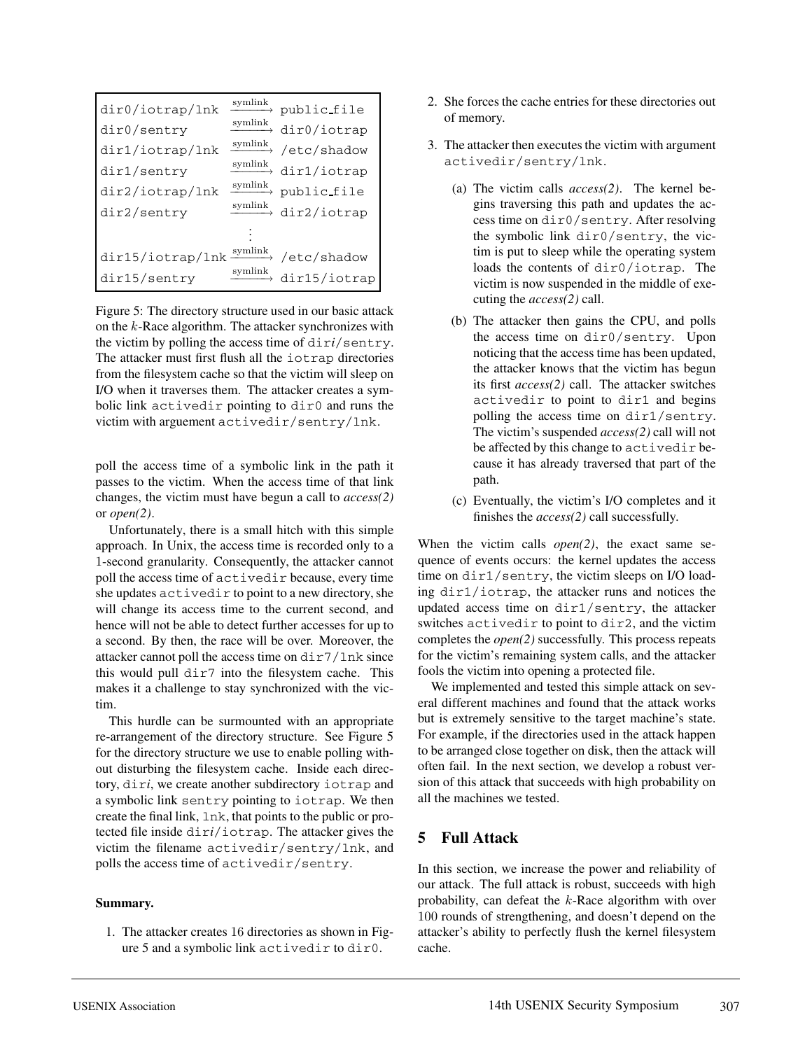| dir0/iotrap/lnk  | symlink | public file                                |
|------------------|---------|--------------------------------------------|
| dir0/sentry      | symlink | dir0/iotrap                                |
| dir1/iotrap/lnk  |         | $\xrightarrow{\text{symlink}}$ /etc/shadow |
| dir1/sentry      |         | $\xrightarrow{\text{symlink}}$ dir1/iotrap |
| dir2/iotrap/lnk  | symlink | public_file                                |
| dir2/sentry      |         | $\xrightarrow{\text{symlink}}$ dir2/iotrap |
|                  |         |                                            |
| dir15/iotrap/lnk |         | symlink /etc/shadow                        |
| dir15/sentry     | symlink | dir15/iotrap                               |

Figure 5: The directory structure used in our basic attack on the k-Race algorithm. The attacker synchronizes with the victim by polling the access time of dir*i*/sentry. The attacker must first flush all the iotrap directories from the filesystem cache so that the victim will sleep on I/O when it traverses them. The attacker creates a symbolic link activedir pointing to dir0 and runs the victim with arguement activedir/sentry/lnk.

poll the access time of a symbolic link in the path it passes to the victim. When the access time of that link changes, the victim must have begun a call to *access(2)* or *open(2)*.

Unfortunately, there is a small hitch with this simple approach. In Unix, the access time is recorded only to a 1-second granularity. Consequently, the attacker cannot poll the access time of activedir because, every time she updates activedir to point to a new directory, she will change its access time to the current second, and hence will not be able to detect further accesses for up to a second. By then, the race will be over. Moreover, the attacker cannot poll the access time on dir7/lnk since this would pull dir7 into the filesystem cache. This makes it a challenge to stay synchronized with the victim.

This hurdle can be surmounted with an appropriate re-arrangement of the directory structure. See Figure 5 for the directory structure we use to enable polling without disturbing the filesystem cache. Inside each directory, dir*i*, we create another subdirectory iotrap and a symbolic link sentry pointing to iotrap. We then create the final link, lnk, that points to the public or protected file inside dir*i*/iotrap. The attacker gives the victim the filename activedir/sentry/lnk, and polls the access time of activedir/sentry.

#### **Summary.**

1. The attacker creates 16 directories as shown in Figure 5 and a symbolic link activedir to dir0.

- 2. She forces the cache entries for these directories out of memory.
- 3. The attacker then executes the victim with argument activedir/sentry/lnk.
	- (a) The victim calls *access(2)*. The kernel begins traversing this path and updates the access time on dir0/sentry. After resolving the symbolic link dir0/sentry, the victim is put to sleep while the operating system loads the contents of dir0/iotrap. The victim is now suspended in the middle of executing the *access(2)* call.
	- (b) The attacker then gains the CPU, and polls the access time on dir0/sentry. Upon noticing that the access time has been updated, the attacker knows that the victim has begun its first *access(2)* call. The attacker switches activedir to point to dir1 and begins polling the access time on dir1/sentry. The victim's suspended *access(2)* call will not be affected by this change to activedir because it has already traversed that part of the path.
	- (c) Eventually, the victim's I/O completes and it finishes the *access(2)* call successfully.

When the victim calls *open(2)*, the exact same sequence of events occurs: the kernel updates the access time on dir1/sentry, the victim sleeps on I/O loading dir1/iotrap, the attacker runs and notices the updated access time on dir1/sentry, the attacker switches activedir to point to dir2, and the victim completes the *open(2)* successfully. This process repeats for the victim's remaining system calls, and the attacker fools the victim into opening a protected file.

We implemented and tested this simple attack on several different machines and found that the attack works but is extremely sensitive to the target machine's state. For example, if the directories used in the attack happen to be arranged close together on disk, then the attack will often fail. In the next section, we develop a robust version of this attack that succeeds with high probability on all the machines we tested.

## **5 Full Attack**

In this section, we increase the power and reliability of our attack. The full attack is robust, succeeds with high probability, can defeat the k-Race algorithm with over 100 rounds of strengthening, and doesn't depend on the attacker's ability to perfectly flush the kernel filesystem cache.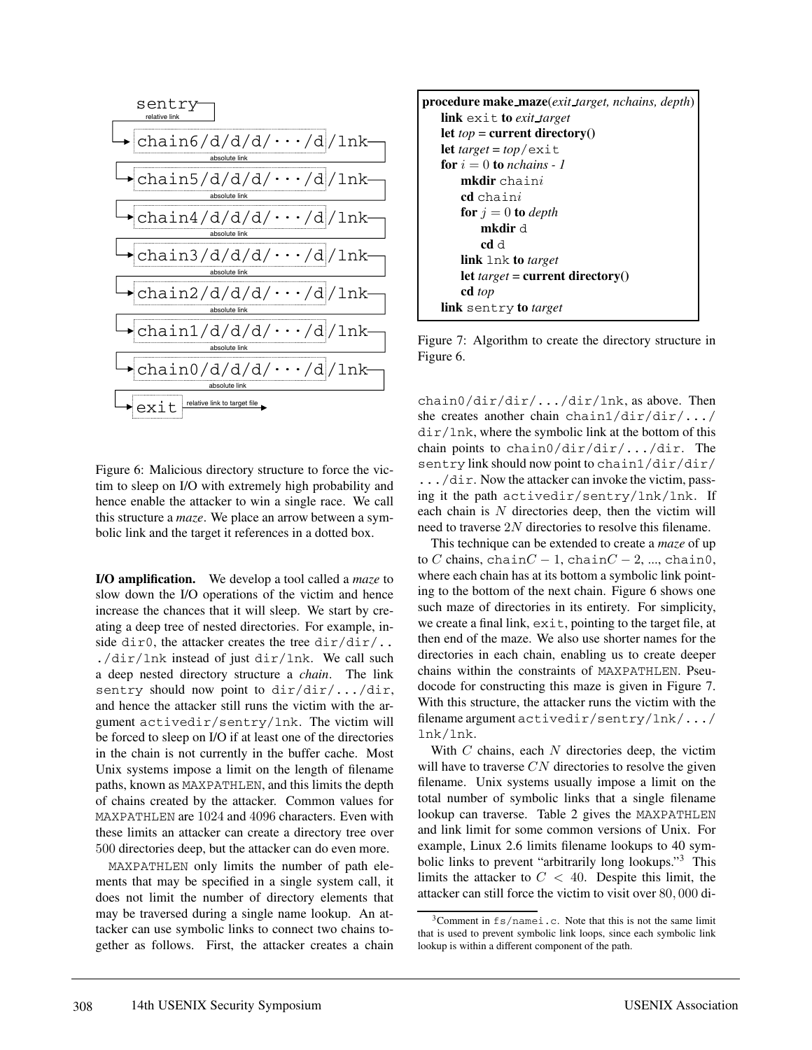

Figure 6: Malicious directory structure to force the victim to sleep on I/O with extremely high probability and hence enable the attacker to win a single race. We call this structure a *maze*. We place an arrow between a symbolic link and the target it references in a dotted box.

**I/O amplification.** We develop a tool called a *maze* to slow down the I/O operations of the victim and hence increase the chances that it will sleep. We start by creating a deep tree of nested directories. For example, inside dir0, the attacker creates the tree  $dir/dir/$ .. ./dir/lnk instead of just dir/lnk. We call such a deep nested directory structure a *chain*. The link sentry should now point to  $dir/dir/$ .../dir, and hence the attacker still runs the victim with the argument activedir/sentry/lnk. The victim will be forced to sleep on I/O if at least one of the directories in the chain is not currently in the buffer cache. Most Unix systems impose a limit on the length of filename paths, known as MAXPATHLEN, and this limits the depth of chains created by the attacker. Common values for MAXPATHLEN are 1024 and 4096 characters. Even with these limits an attacker can create a directory tree over 500 directories deep, but the attacker can do even more.

MAXPATHLEN only limits the number of path elements that may be specified in a single system call, it does not limit the number of directory elements that may be traversed during a single name lookup. An attacker can use symbolic links to connect two chains together as follows. First, the attacker creates a chain



Figure 7: Algorithm to create the directory structure in Figure 6.

chain0/dir/dir/.../dir/lnk, as above. Then she creates another chain chain1/dir/dir/.../  $dir/lnk$ , where the symbolic link at the bottom of this chain points to chain0/dir/dir/.../dir. The sentry link should now point to chain1/dir/dir/ .../dir. Now the attacker can invoke the victim, passing it the path activedir/sentry/lnk/lnk. If each chain is  $N$  directories deep, then the victim will need to traverse 2N directories to resolve this filename.

This technique can be extended to create a *maze* of up to C chains, chain $C - 1$ , chain $C - 2$ , ..., chain0, where each chain has at its bottom a symbolic link pointing to the bottom of the next chain. Figure 6 shows one such maze of directories in its entirety. For simplicity, we create a final link, exit, pointing to the target file, at then end of the maze. We also use shorter names for the directories in each chain, enabling us to create deeper chains within the constraints of MAXPATHLEN. Pseudocode for constructing this maze is given in Figure 7. With this structure, the attacker runs the victim with the filename argument activedir/sentry/lnk/.../ lnk/lnk.

With  $C$  chains, each  $N$  directories deep, the victim will have to traverse  $CN$  directories to resolve the given filename. Unix systems usually impose a limit on the total number of symbolic links that a single filename lookup can traverse. Table 2 gives the MAXPATHLEN and link limit for some common versions of Unix. For example, Linux 2.6 limits filename lookups to 40 symbolic links to prevent "arbitrarily long lookups."<sup>3</sup> This limits the attacker to  $C < 40$ . Despite this limit, the attacker can still force the victim to visit over 80, 000 di-

 $3$ Comment in  $fs/n$ amei.c. Note that this is not the same limit that is used to prevent symbolic link loops, since each symbolic link lookup is within a different component of the path.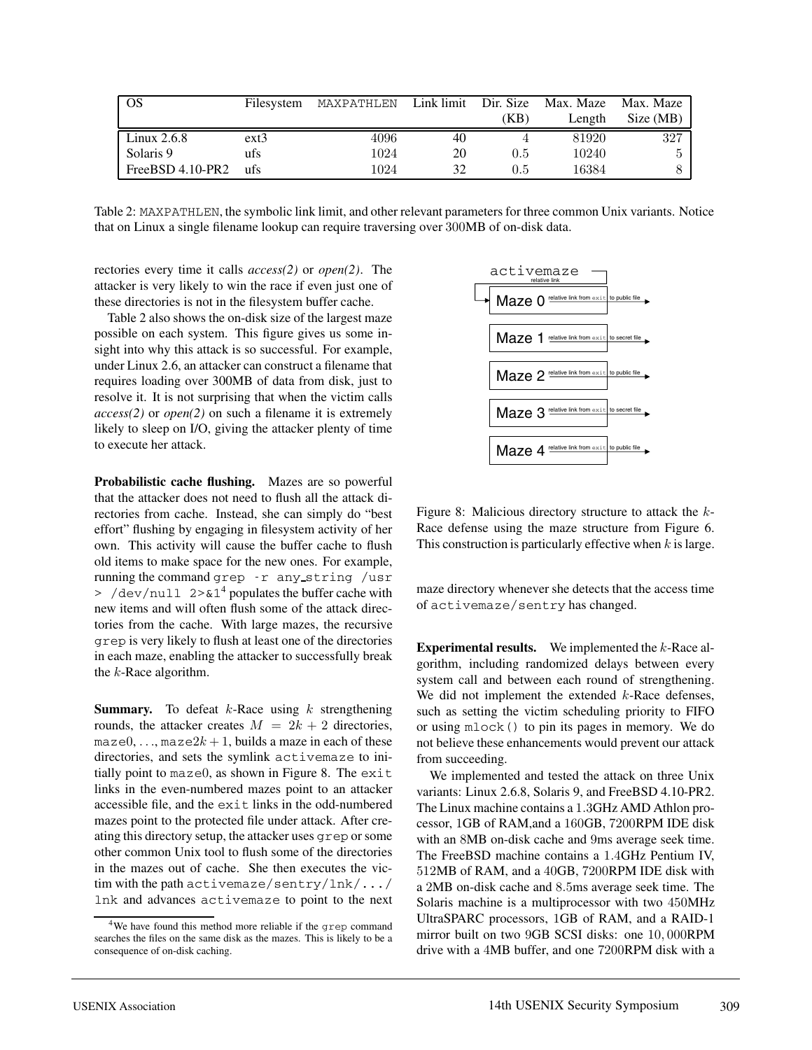| OS                 | Filesystem | MAXPATHLEN |    |      | Link limit Dir. Size Max. Maze Max. Maze |           |
|--------------------|------------|------------|----|------|------------------------------------------|-----------|
|                    |            |            |    | (KB) | Length                                   | Size (MB) |
| Linux $2.6.8$      | $ext{3}$   | 4096       | 40 |      | 81920                                    | 327       |
| Solaris 9          | ufs        | 1024       | 20 | 0.5  | 10240                                    | h.        |
| $FreeBSD 4.10-PR2$ | ufs        | 1024       | 32 | 0.5  | 16384                                    |           |

Table 2: MAXPATHLEN, the symbolic link limit, and other relevant parameters for three common Unix variants. Notice that on Linux a single filename lookup can require traversing over 300MB of on-disk data.

rectories every time it calls *access(2)* or *open(2)*. The attacker is very likely to win the race if even just one of these directories is not in the filesystem buffer cache.

Table 2 also shows the on-disk size of the largest maze possible on each system. This figure gives us some insight into why this attack is so successful. For example, under Linux 2.6, an attacker can construct a filename that requires loading over 300MB of data from disk, just to resolve it. It is not surprising that when the victim calls *access(2)* or *open(2)* on such a filename it is extremely likely to sleep on I/O, giving the attacker plenty of time to execute her attack.

**Probabilistic cache flushing.** Mazes are so powerful that the attacker does not need to flush all the attack directories from cache. Instead, she can simply do "best effort" flushing by engaging in filesystem activity of her own. This activity will cause the buffer cache to flush old items to make space for the new ones. For example, running the command grep -r any string /usr  $>$  /dev/null 2>&1<sup>4</sup> populates the buffer cache with new items and will often flush some of the attack directories from the cache. With large mazes, the recursive grep is very likely to flush at least one of the directories in each maze, enabling the attacker to successfully break the  $k$ -Race algorithm.

**Summary.** To defeat  $k$ -Race using  $k$  strengthening rounds, the attacker creates  $M = 2k + 2$  directories. maze $0, \ldots$ , maze $2k + 1$ , builds a maze in each of these directories, and sets the symlink activemaze to initially point to maze0, as shown in Figure 8. The exit links in the even-numbered mazes point to an attacker accessible file, and the exit links in the odd-numbered mazes point to the protected file under attack. After creating this directory setup, the attacker uses grep or some other common Unix tool to flush some of the directories in the mazes out of cache. She then executes the victim with the path activemaze/sentry/lnk/.../ lnk and advances activemaze to point to the next



Figure 8: Malicious directory structure to attack the  $k$ -Race defense using the maze structure from Figure 6. This construction is particularly effective when  $k$  is large.

maze directory whenever she detects that the access time of activemaze/sentry has changed.

**Experimental results.** We implemented the k-Race algorithm, including randomized delays between every system call and between each round of strengthening. We did not implement the extended  $k$ -Race defenses, such as setting the victim scheduling priority to FIFO or using mlock() to pin its pages in memory. We do not believe these enhancements would prevent our attack from succeeding.

We implemented and tested the attack on three Unix variants: Linux 2.6.8, Solaris 9, and FreeBSD 4.10-PR2. The Linux machine contains a 1.3GHz AMD Athlon processor, 1GB of RAM,and a 160GB, 7200RPM IDE disk with an 8MB on-disk cache and 9ms average seek time. The FreeBSD machine contains a 1.4GHz Pentium IV, 512MB of RAM, and a 40GB, 7200RPM IDE disk with a 2MB on-disk cache and 8.5ms average seek time. The Solaris machine is a multiprocessor with two 450MHz UltraSPARC processors, 1GB of RAM, and a RAID-1 mirror built on two 9GB SCSI disks: one 10, 000RPM drive with a 4MB buffer, and one 7200RPM disk with a

<sup>4</sup>We have found this method more reliable if the grep command searches the files on the same disk as the mazes. This is likely to be a consequence of on-disk caching.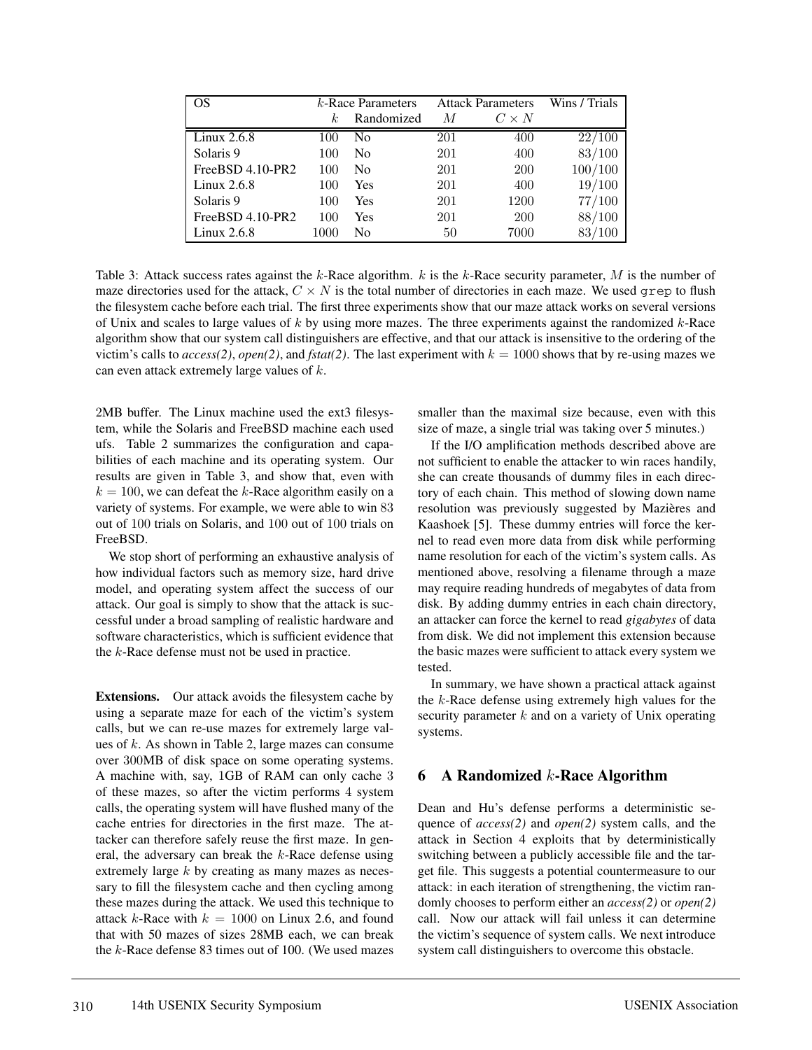| OS                 | $k$ -Race Parameters |                | <b>Attack Parameters</b> |              | Wins / Trials |
|--------------------|----------------------|----------------|--------------------------|--------------|---------------|
|                    | k.                   | Randomized     | М                        | $C \times N$ |               |
| Linux 2.6.8        | 100                  | N <sub>0</sub> | 201                      | 400          | 22/100        |
| Solaris 9          | 100                  | N <sub>0</sub> | 201                      | 400          | 83/100        |
| $FreeBSD 4.10-PR2$ | 100                  | N <sub>0</sub> | 201                      | <b>200</b>   | 100/100       |
| Linux 2.6.8        | 100                  | Yes            | 201                      | 400          | 19/100        |
| Solaris 9          | 100                  | Yes            | 201                      | 1200         | 77/100        |
| FreeBSD 4.10-PR2   | 100                  | Yes            | 201                      | <b>200</b>   | 88/100        |
| Linux $2.6.8$      | 1000                 | No             | 50                       | 7000         | 83/100        |

Table 3: Attack success rates against the k-Race algorithm.  $k$  is the k-Race security parameter,  $M$  is the number of maze directories used for the attack,  $C \times N$  is the total number of directories in each maze. We used grep to flush the filesystem cache before each trial. The first three experiments show that our maze attack works on several versions of Unix and scales to large values of  $k$  by using more mazes. The three experiments against the randomized  $k$ -Race algorithm show that our system call distinguishers are effective, and that our attack is insensitive to the ordering of the victim's calls to *access(2)*, *open(2)*, and *fstat(2)*. The last experiment with  $k = 1000$  shows that by re-using mazes we can even attack extremely large values of k.

2MB buffer. The Linux machine used the ext3 filesystem, while the Solaris and FreeBSD machine each used ufs. Table 2 summarizes the configuration and capabilities of each machine and its operating system. Our results are given in Table 3, and show that, even with  $k = 100$ , we can defeat the k-Race algorithm easily on a variety of systems. For example, we were able to win 83 out of 100 trials on Solaris, and 100 out of 100 trials on FreeBSD.

We stop short of performing an exhaustive analysis of how individual factors such as memory size, hard drive model, and operating system affect the success of our attack. Our goal is simply to show that the attack is successful under a broad sampling of realistic hardware and software characteristics, which is sufficient evidence that the  $k$ -Race defense must not be used in practice.

**Extensions.** Our attack avoids the filesystem cache by using a separate maze for each of the victim's system calls, but we can re-use mazes for extremely large values of k. As shown in Table 2, large mazes can consume over 300MB of disk space on some operating systems. A machine with, say, 1GB of RAM can only cache 3 of these mazes, so after the victim performs 4 system calls, the operating system will have flushed many of the cache entries for directories in the first maze. The attacker can therefore safely reuse the first maze. In general, the adversary can break the  $k$ -Race defense using extremely large k by creating as many mazes as necessary to fill the filesystem cache and then cycling among these mazes during the attack. We used this technique to attack k-Race with  $k = 1000$  on Linux 2.6, and found that with 50 mazes of sizes 28MB each, we can break the  $k$ -Race defense 83 times out of 100. (We used mazes smaller than the maximal size because, even with this size of maze, a single trial was taking over 5 minutes.)

If the I/O amplification methods described above are not sufficient to enable the attacker to win races handily, she can create thousands of dummy files in each directory of each chain. This method of slowing down name resolution was previously suggested by Mazières and Kaashoek [5]. These dummy entries will force the kernel to read even more data from disk while performing name resolution for each of the victim's system calls. As mentioned above, resolving a filename through a maze may require reading hundreds of megabytes of data from disk. By adding dummy entries in each chain directory, an attacker can force the kernel to read *gigabytes* of data from disk. We did not implement this extension because the basic mazes were sufficient to attack every system we tested.

In summary, we have shown a practical attack against the k-Race defense using extremely high values for the security parameter  $k$  and on a variety of Unix operating systems.

### **6 A Randomized** k**-Race Algorithm**

Dean and Hu's defense performs a deterministic sequence of *access(2)* and *open(2)* system calls, and the attack in Section 4 exploits that by deterministically switching between a publicly accessible file and the target file. This suggests a potential countermeasure to our attack: in each iteration of strengthening, the victim randomly chooses to perform either an *access(2)* or *open(2)* call. Now our attack will fail unless it can determine the victim's sequence of system calls. We next introduce system call distinguishers to overcome this obstacle.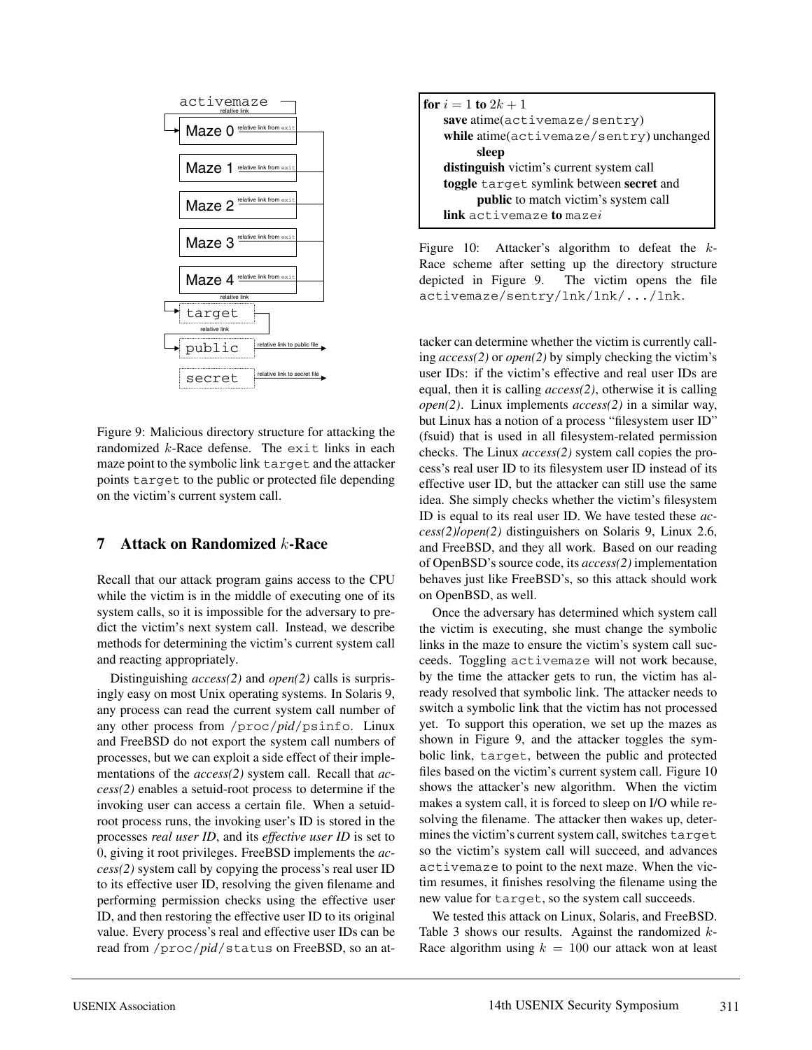

Figure 9: Malicious directory structure for attacking the randomized  $k$ -Race defense. The exit links in each maze point to the symbolic link target and the attacker points target to the public or protected file depending on the victim's current system call.

### **7 Attack on Randomized** k**-Race**

Recall that our attack program gains access to the CPU while the victim is in the middle of executing one of its system calls, so it is impossible for the adversary to predict the victim's next system call. Instead, we describe methods for determining the victim's current system call and reacting appropriately.

Distinguishing *access(2)* and *open(2)* calls is surprisingly easy on most Unix operating systems. In Solaris 9, any process can read the current system call number of any other process from /proc/*pid*/psinfo. Linux and FreeBSD do not export the system call numbers of processes, but we can exploit a side effect of their implementations of the *access(2)* system call. Recall that *access(2)* enables a setuid-root process to determine if the invoking user can access a certain file. When a setuidroot process runs, the invoking user's ID is stored in the processes *real user ID*, and its *effective user ID* is set to 0, giving it root privileges. FreeBSD implements the *access(2)* system call by copying the process's real user ID to its effective user ID, resolving the given filename and performing permission checks using the effective user ID, and then restoring the effective user ID to its original value. Every process's real and effective user IDs can be read from /proc/*pid*/status on FreeBSD, so an at-

| <b>for</b> $i = 1$ <b>to</b> $2k + 1$    |
|------------------------------------------|
| save atime(activemaze/sentry)            |
| while atime(activemaze/sentry) unchanged |
| sleep                                    |
| distinguish victim's current system call |
| toggle target symlink between secret and |
| public to match victim's system call     |
| link activemaze to mazei                 |

Figure 10: Attacker's algorithm to defeat the k-Race scheme after setting up the directory structure depicted in Figure 9. The victim opens the file activemaze/sentry/lnk/lnk/.../lnk.

tacker can determine whether the victim is currently calling *access(2)* or *open(2)* by simply checking the victim's user IDs: if the victim's effective and real user IDs are equal, then it is calling *access(2)*, otherwise it is calling *open(2)*. Linux implements *access(2)* in a similar way, but Linux has a notion of a process "filesystem user ID" (fsuid) that is used in all filesystem-related permission checks. The Linux *access(2)* system call copies the process's real user ID to its filesystem user ID instead of its effective user ID, but the attacker can still use the same idea. She simply checks whether the victim's filesystem ID is equal to its real user ID. We have tested these *access(2)*/*open(2)* distinguishers on Solaris 9, Linux 2.6, and FreeBSD, and they all work. Based on our reading of OpenBSD's source code, its *access(2)* implementation behaves just like FreeBSD's, so this attack should work on OpenBSD, as well.

Once the adversary has determined which system call the victim is executing, she must change the symbolic links in the maze to ensure the victim's system call succeeds. Toggling activemaze will not work because, by the time the attacker gets to run, the victim has already resolved that symbolic link. The attacker needs to switch a symbolic link that the victim has not processed yet. To support this operation, we set up the mazes as shown in Figure 9, and the attacker toggles the symbolic link, target, between the public and protected files based on the victim's current system call. Figure 10 shows the attacker's new algorithm. When the victim makes a system call, it is forced to sleep on I/O while resolving the filename. The attacker then wakes up, determines the victim's current system call, switches target so the victim's system call will succeed, and advances activemaze to point to the next maze. When the victim resumes, it finishes resolving the filename using the new value for target, so the system call succeeds.

We tested this attack on Linux, Solaris, and FreeBSD. Table 3 shows our results. Against the randomized  $k$ -Race algorithm using  $k = 100$  our attack won at least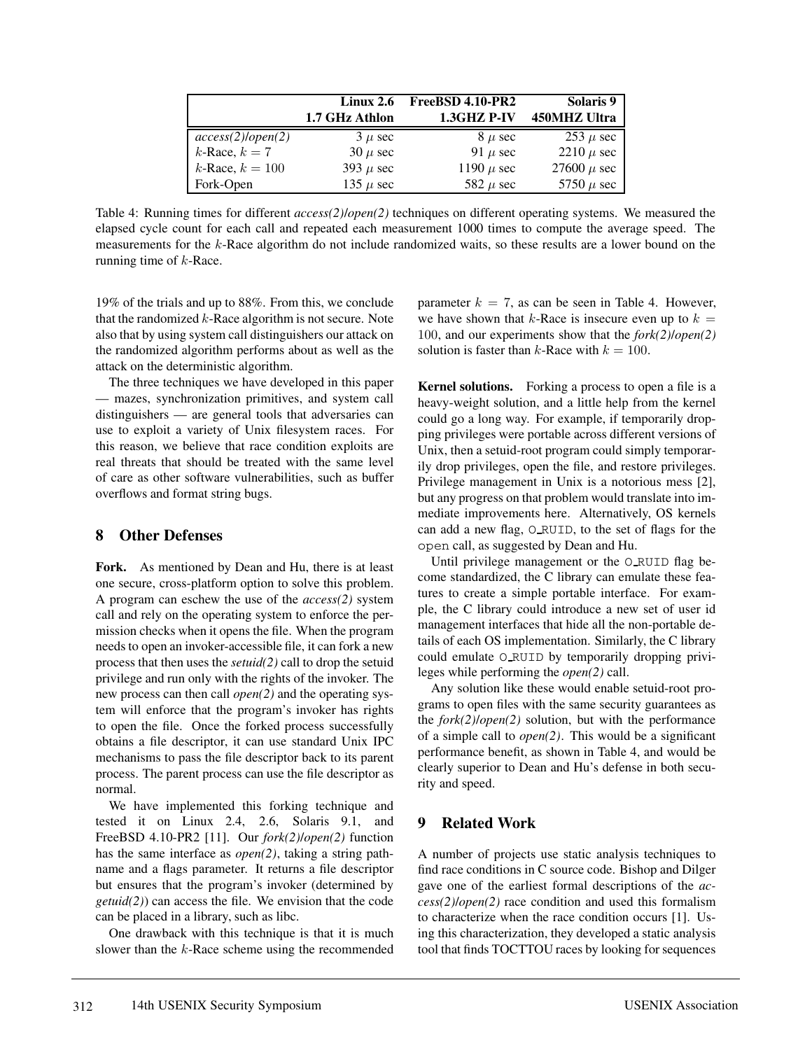|                         | Linux $2.6$          | FreeBSD 4.10-PR2 | Solaris 9       |
|-------------------------|----------------------|------------------|-----------------|
|                         | 1.7 GHz Athlon       | 1.3GHZ P-IV      | 450MHZ Ultra    |
| $access(2)$ /open $(2)$ | $3 \mu$ sec          | $8 \mu$ sec      | $253 \mu$ sec   |
| $k$ -Race, $k = 7$      | $30 \mu \text{ sec}$ | 91 $\mu$ sec     | 2210 $\mu$ sec  |
| $k$ -Race, $k = 100$    | 393 $\mu$ sec        | 1190 $\mu$ sec   | 27600 $\mu$ sec |
| Fork-Open               | 135 $\mu$ sec        | 582 $\mu$ sec    | 5750 $\mu$ sec  |

Table 4: Running times for different *access(2)*/*open(2)* techniques on different operating systems. We measured the elapsed cycle count for each call and repeated each measurement 1000 times to compute the average speed. The measurements for the k-Race algorithm do not include randomized waits, so these results are a lower bound on the running time of  $k$ -Race.

19% of the trials and up to 88%. From this, we conclude that the randomized  $k$ -Race algorithm is not secure. Note also that by using system call distinguishers our attack on the randomized algorithm performs about as well as the attack on the deterministic algorithm.

The three techniques we have developed in this paper — mazes, synchronization primitives, and system call distinguishers — are general tools that adversaries can use to exploit a variety of Unix filesystem races. For this reason, we believe that race condition exploits are real threats that should be treated with the same level of care as other software vulnerabilities, such as buffer overflows and format string bugs.

### **8 Other Defenses**

**Fork.** As mentioned by Dean and Hu, there is at least one secure, cross-platform option to solve this problem. A program can eschew the use of the *access(2)* system call and rely on the operating system to enforce the permission checks when it opens the file. When the program needs to open an invoker-accessible file, it can fork a new process that then uses the *setuid(2)* call to drop the setuid privilege and run only with the rights of the invoker. The new process can then call *open(2)* and the operating system will enforce that the program's invoker has rights to open the file. Once the forked process successfully obtains a file descriptor, it can use standard Unix IPC mechanisms to pass the file descriptor back to its parent process. The parent process can use the file descriptor as normal.

We have implemented this forking technique and tested it on Linux 2.4, 2.6, Solaris 9.1, and FreeBSD 4.10-PR2 [11]. Our *fork(2)*/*open(2)* function has the same interface as *open(2)*, taking a string pathname and a flags parameter. It returns a file descriptor but ensures that the program's invoker (determined by *getuid(2)*) can access the file. We envision that the code can be placed in a library, such as libc.

One drawback with this technique is that it is much slower than the  $k$ -Race scheme using the recommended parameter  $k = 7$ , as can be seen in Table 4. However, we have shown that k-Race is insecure even up to  $k =$ 100, and our experiments show that the *fork(2)*/*open(2)* solution is faster than k-Race with  $k = 100$ .

**Kernel solutions.** Forking a process to open a file is a heavy-weight solution, and a little help from the kernel could go a long way. For example, if temporarily dropping privileges were portable across different versions of Unix, then a setuid-root program could simply temporarily drop privileges, open the file, and restore privileges. Privilege management in Unix is a notorious mess [2], but any progress on that problem would translate into immediate improvements here. Alternatively, OS kernels can add a new flag, O RUID, to the set of flags for the open call, as suggested by Dean and Hu.

Until privilege management or the O\_RUID flag become standardized, the C library can emulate these features to create a simple portable interface. For example, the C library could introduce a new set of user id management interfaces that hide all the non-portable details of each OS implementation. Similarly, the C library could emulate O RUID by temporarily dropping privileges while performing the *open(2)* call.

Any solution like these would enable setuid-root programs to open files with the same security guarantees as the *fork(2)*/*open(2)* solution, but with the performance of a simple call to *open(2)*. This would be a significant performance benefit, as shown in Table 4, and would be clearly superior to Dean and Hu's defense in both security and speed.

## **9 Related Work**

A number of projects use static analysis techniques to find race conditions in C source code. Bishop and Dilger gave one of the earliest formal descriptions of the *access(2)*/*open(2)* race condition and used this formalism to characterize when the race condition occurs [1]. Using this characterization, they developed a static analysis tool that finds TOCTTOU races by looking for sequences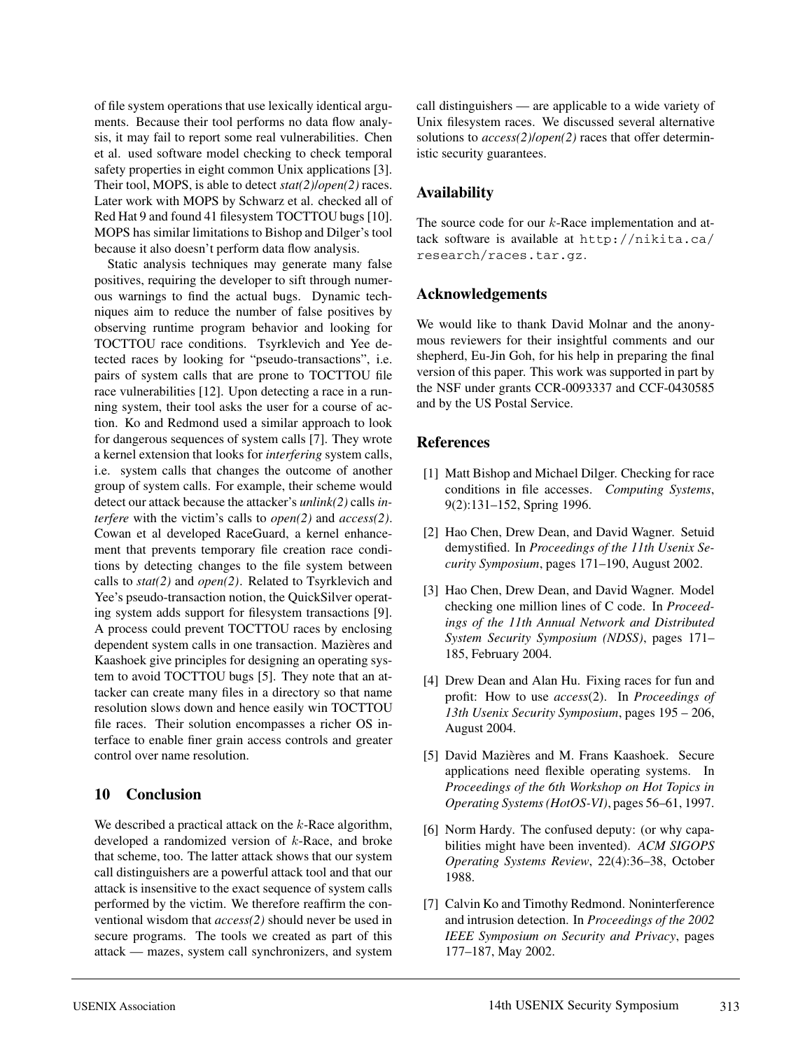of file system operations that use lexically identical arguments. Because their tool performs no data flow analysis, it may fail to report some real vulnerabilities. Chen et al. used software model checking to check temporal safety properties in eight common Unix applications [3]. Their tool, MOPS, is able to detect *stat(2)*/*open(2)* races. Later work with MOPS by Schwarz et al. checked all of Red Hat 9 and found 41 filesystem TOCTTOU bugs [10]. MOPS has similar limitations to Bishop and Dilger's tool because it also doesn't perform data flow analysis.

Static analysis techniques may generate many false positives, requiring the developer to sift through numerous warnings to find the actual bugs. Dynamic techniques aim to reduce the number of false positives by observing runtime program behavior and looking for TOCTTOU race conditions. Tsyrklevich and Yee detected races by looking for "pseudo-transactions", i.e. pairs of system calls that are prone to TOCTTOU file race vulnerabilities [12]. Upon detecting a race in a running system, their tool asks the user for a course of action. Ko and Redmond used a similar approach to look for dangerous sequences of system calls [7]. They wrote a kernel extension that looks for *interfering* system calls, i.e. system calls that changes the outcome of another group of system calls. For example, their scheme would detect our attack because the attacker's *unlink(2)* calls *interfere* with the victim's calls to *open(2)* and *access(2)*. Cowan et al developed RaceGuard, a kernel enhancement that prevents temporary file creation race conditions by detecting changes to the file system between calls to *stat(2)* and *open(2)*. Related to Tsyrklevich and Yee's pseudo-transaction notion, the QuickSilver operating system adds support for filesystem transactions [9]. A process could prevent TOCTTOU races by enclosing dependent system calls in one transaction. Mazières and Kaashoek give principles for designing an operating system to avoid TOCTTOU bugs [5]. They note that an attacker can create many files in a directory so that name resolution slows down and hence easily win TOCTTOU file races. Their solution encompasses a richer OS interface to enable finer grain access controls and greater control over name resolution.

### **10 Conclusion**

We described a practical attack on the  $k$ -Race algorithm, developed a randomized version of  $k$ -Race, and broke that scheme, too. The latter attack shows that our system call distinguishers are a powerful attack tool and that our attack is insensitive to the exact sequence of system calls performed by the victim. We therefore reaffirm the conventional wisdom that *access(2)* should never be used in secure programs. The tools we created as part of this attack — mazes, system call synchronizers, and system call distinguishers — are applicable to a wide variety of Unix filesystem races. We discussed several alternative solutions to *access(2)*/*open(2)* races that offer deterministic security guarantees.

#### **Availability**

The source code for our  $k$ -Race implementation and attack software is available at http://nikita.ca/ research/races.tar.gz.

#### **Acknowledgements**

We would like to thank David Molnar and the anonymous reviewers for their insightful comments and our shepherd, Eu-Jin Goh, for his help in preparing the final version of this paper. This work was supported in part by the NSF under grants CCR-0093337 and CCF-0430585 and by the US Postal Service.

#### **References**

- [1] Matt Bishop and Michael Dilger. Checking for race conditions in file accesses. *Computing Systems*, 9(2):131–152, Spring 1996.
- [2] Hao Chen, Drew Dean, and David Wagner. Setuid demystified. In *Proceedings of the 11th Usenix Security Symposium*, pages 171–190, August 2002.
- [3] Hao Chen, Drew Dean, and David Wagner. Model checking one million lines of C code. In *Proceedings of the 11th Annual Network and Distributed System Security Symposium (NDSS)*, pages 171– 185, February 2004.
- [4] Drew Dean and Alan Hu. Fixing races for fun and profit: How to use *access*(2). In *Proceedings of 13th Usenix Security Symposium*, pages 195 – 206, August 2004.
- [5] David Mazières and M. Frans Kaashoek. Secure applications need flexible operating systems. In *Proceedings of the 6th Workshop on Hot Topics in Operating Systems (HotOS-VI)*, pages 56–61, 1997.
- [6] Norm Hardy. The confused deputy: (or why capabilities might have been invented). *ACM SIGOPS Operating Systems Review*, 22(4):36–38, October 1988.
- [7] Calvin Ko and Timothy Redmond. Noninterference and intrusion detection. In *Proceedings of the 2002 IEEE Symposium on Security and Privacy*, pages 177–187, May 2002.